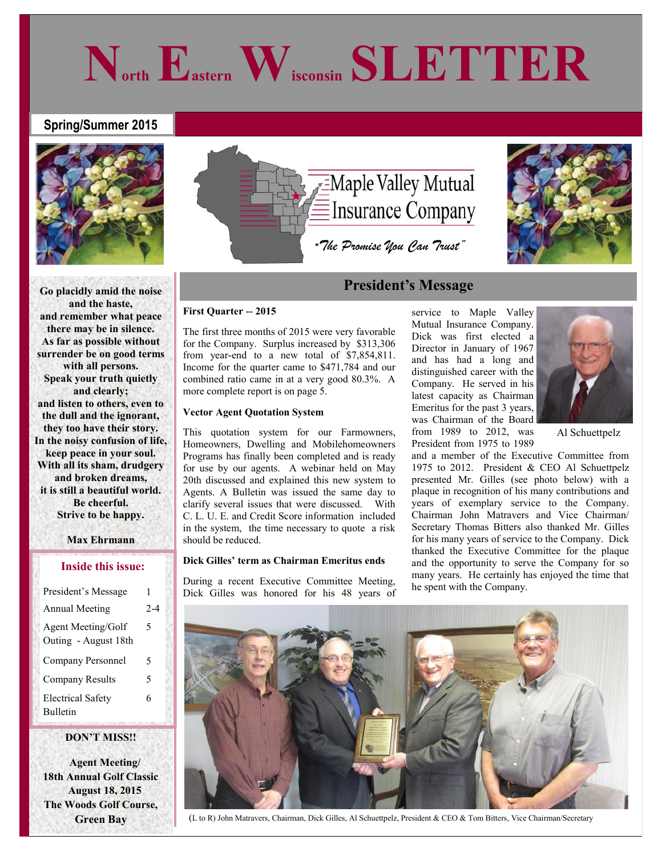# **Spring/Summer 2015**



**Go placidly amid the noise and the haste, and remember what peace there may be in silence. As far as possible without surrender be on good terms with all persons. Speak your truth quietly and clearly; and listen to others, even to the dull and the ignorant, they too have their story. In the noisy confusion of life, keep peace in your soul. With all its sham, drudgery and broken dreams, it is still a beautiful world. Be cheerful. Strive to be happy.**

## **Max Ehrmann**

## **Inside this issue:**

| President's Message                         | 1       |
|---------------------------------------------|---------|
| <b>Annual Meeting</b>                       | $2 - 4$ |
| Agent Meeting/Golf<br>Outing - August 18th  | 5       |
| Company Personnel                           | 5       |
| <b>Company Results</b>                      | 5       |
| <b>Electrical Safety</b><br><b>Bulletin</b> | 6       |

## **DON'T MISS!!**

 **Agent Meeting/ 18th Annual Golf Classic August 18, 2015 The Woods Golf Course, Green Bay**



# **President's Message**

## **First Quarter -- 2015**

The first three months of 2015 were very favorable for the Company. Surplus increased by \$313,306 from year-end to a new total of \$7,854,811. Income for the quarter came to \$471,784 and our combined ratio came in at a very good 80.3%. A more complete report is on page 5.

## **Vector Agent Quotation System**

This quotation system for our Farmowners, Homeowners, Dwelling and Mobilehomeowners Programs has finally been completed and is ready for use by our agents. A webinar held on May 20th discussed and explained this new system to Agents. A Bulletin was issued the same day to clarify several issues that were discussed. With C. L. U. E. and Credit Score information included in the system, the time necessary to quote a risk should be reduced.

## **Dick Gilles' term as Chairman Emeritus ends**

During a recent Executive Committee Meeting, Dick Gilles was honored for his 48 years of

service to Maple Valley Mutual Insurance Company. Dick was first elected a Director in January of 1967 and has had a long and distinguished career with the Company. He served in his latest capacity as Chairman Emeritus for the past 3 years, was Chairman of the Board from 1989 to 2012, was President from 1975 to 1989



Al Schuettpelz

and a member of the Executive Committee from 1975 to 2012. President & CEO Al Schuettpelz presented Mr. Gilles (see photo below) with a plaque in recognition of his many contributions and years of exemplary service to the Company. Chairman John Matravers and Vice Chairman/ Secretary Thomas Bitters also thanked Mr. Gilles for his many years of service to the Company. Dick thanked the Executive Committee for the plaque and the opportunity to serve the Company for so many years. He certainly has enjoyed the time that he spent with the Company.



(L to R) John Matravers, Chairman, Dick Gilles, Al Schuettpelz, President & CEO & Tom Bitters, Vice Chairman/Secretary

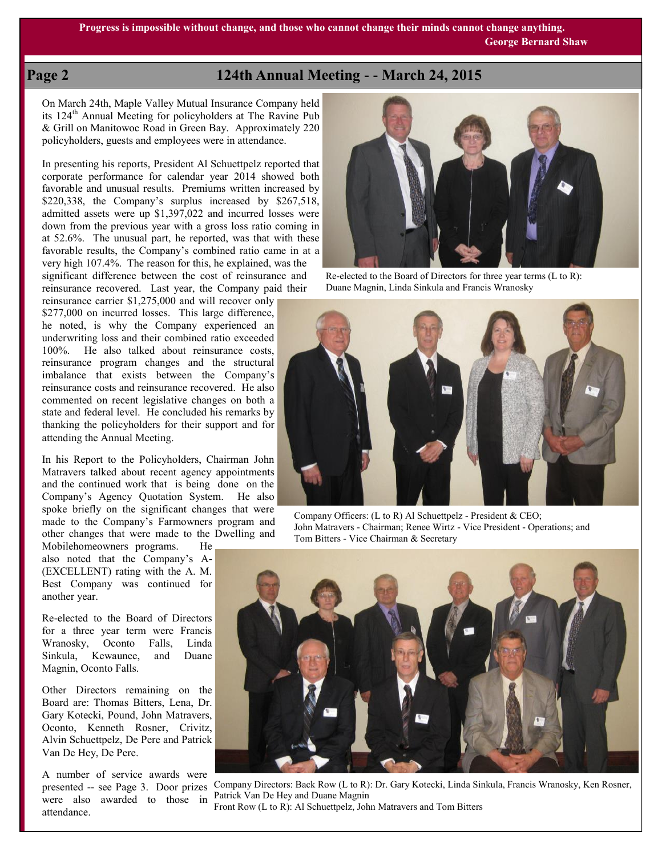# **Page 2 124th Annual Meeting - - March 24, 2015**

On March 24th, Maple Valley Mutual Insurance Company held its 124th Annual Meeting for policyholders at The Ravine Pub & Grill on Manitowoc Road in Green Bay. Approximately 220 policyholders, guests and employees were in attendance.

In presenting his reports, President Al Schuettpelz reported that corporate performance for calendar year 2014 showed both favorable and unusual results. Premiums written increased by \$220,338, the Company's surplus increased by \$267,518, admitted assets were up \$1,397,022 and incurred losses were down from the previous year with a gross loss ratio coming in at 52.6%. The unusual part, he reported, was that with these favorable results, the Company's combined ratio came in at a very high 107.4%. The reason for this, he explained, was the significant difference between the cost of reinsurance and reinsurance recovered. Last year, the Company paid their

reinsurance carrier \$1,275,000 and will recover only \$277,000 on incurred losses. This large difference, he noted, is why the Company experienced an underwriting loss and their combined ratio exceeded 100%. He also talked about reinsurance costs, reinsurance program changes and the structural imbalance that exists between the Company's reinsurance costs and reinsurance recovered. He also commented on recent legislative changes on both a state and federal level. He concluded his remarks by thanking the policyholders for their support and for attending the Annual Meeting.

In his Report to the Policyholders, Chairman John Matravers talked about recent agency appointments and the continued work that is being done on the Company's Agency Quotation System. He also spoke briefly on the significant changes that were made to the Company's Farmowners program and other changes that were made to the Dwelling and

Mobilehomeowners programs. He also noted that the Company's A- (EXCELLENT) rating with the A. M. Best Company was continued for another year.

Re-elected to the Board of Directors for a three year term were Francis Wranosky, Oconto Falls, Linda Sinkula, Kewaunee, and Duane Magnin, Oconto Falls.

Other Directors remaining on the Board are: Thomas Bitters, Lena, Dr. Gary Kotecki, Pound, John Matravers, Oconto, Kenneth Rosner, Crivitz, Alvin Schuettpelz, De Pere and Patrick Van De Hey, De Pere.

A number of service awards were were also awarded to those in attendance.



Re-elected to the Board of Directors for three year terms (L to R): Duane Magnin, Linda Sinkula and Francis Wranosky



Company Officers: (L to R) Al Schuettpelz - President & CEO; John Matravers - Chairman; Renee Wirtz - Vice President - Operations; and Tom Bitters - Vice Chairman & Secretary



presented -- see Page 3. Door prizes Company Directors: Back Row (L to R): Dr. Gary Kotecki, Linda Sinkula, Francis Wranosky, Ken Rosner, Patrick Van De Hey and Duane Magnin Front Row (L to R): Al Schuettpelz, John Matravers and Tom Bitters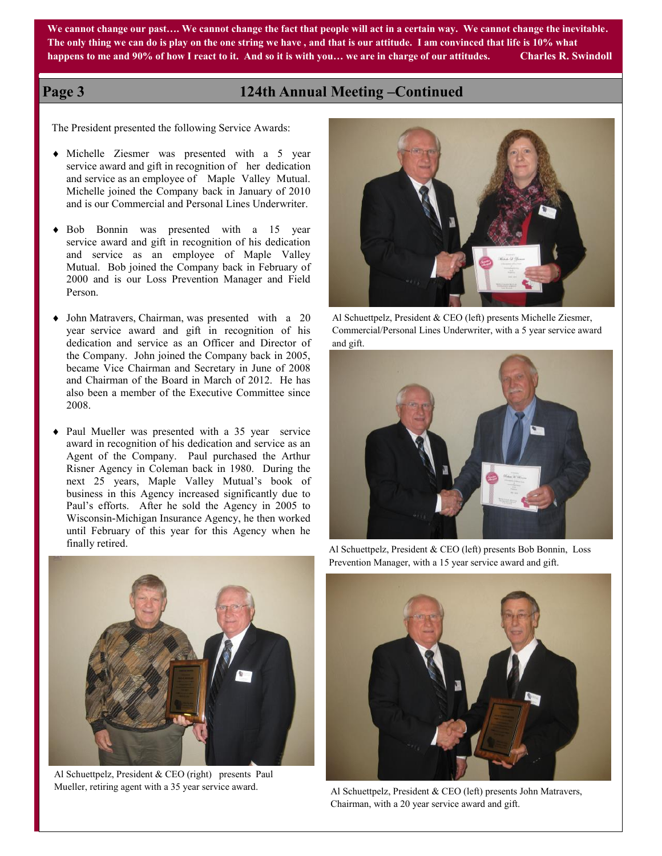**We cannot change our past…. We cannot change the fact that people will act in a certain way. We cannot change the inevitable. The only thing we can do is play on the one string we have , and that is our attitude. I am convinced that life is 10% what happens to me and 90% of how I react to it. And so it is with you… we are in charge of our attitudes. Charles R. Swindoll**

# **Page 3 124th Annual Meeting –Continued**

The President presented the following Service Awards:

- Michelle Ziesmer was presented with a 5 year service award and gift in recognition of her dedication and service as an employee of Maple Valley Mutual. Michelle joined the Company back in January of 2010 and is our Commercial and Personal Lines Underwriter.
- Bob Bonnin was presented with a 15 year service award and gift in recognition of his dedication and service as an employee of Maple Valley Mutual. Bob joined the Company back in February of 2000 and is our Loss Prevention Manager and Field Person.
- John Matravers, Chairman, was presented with a 20 year service award and gift in recognition of his dedication and service as an Officer and Director of the Company. John joined the Company back in 2005, became Vice Chairman and Secretary in June of 2008 and Chairman of the Board in March of 2012. He has also been a member of the Executive Committee since 2008.
- Paul Mueller was presented with a 35 year service award in recognition of his dedication and service as an Agent of the Company. Paul purchased the Arthur Risner Agency in Coleman back in 1980. During the next 25 years, Maple Valley Mutual's book of business in this Agency increased significantly due to Paul's efforts. After he sold the Agency in 2005 to Wisconsin-Michigan Insurance Agency, he then worked until February of this year for this Agency when he finally retired.



Al Schuettpelz, President & CEO (left) presents Michelle Ziesmer, Commercial/Personal Lines Underwriter, with a 5 year service award and gift.





Al Schuettpelz, President & CEO (right) presents Paul Mueller, retiring agent with a 35 year service award.

Al Schuettpelz, President & CEO (left) presents Bob Bonnin, Loss Prevention Manager, with a 15 year service award and gift.



Al Schuettpelz, President & CEO (left) presents John Matravers, Chairman, with a 20 year service award and gift.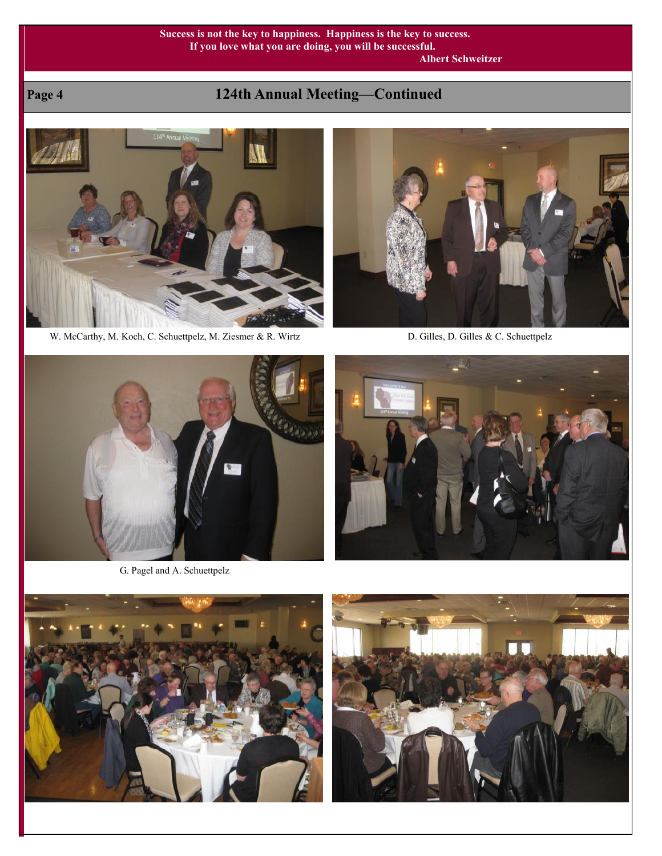## **Success is not the key to happiness. Happiness is the key to success. If you love what you are doing, you will be successful. Albert Schweitzer**

# **Page 4 124th Annual Meeting—Continued**



W. McCarthy, M. Koch, C. Schuettpelz, M. Ziesmer & R. Wirtz D. Gilles, D. Gilles, D. Gilles & C. Schuettpelz





G. Pagel and A. Schuettpelz





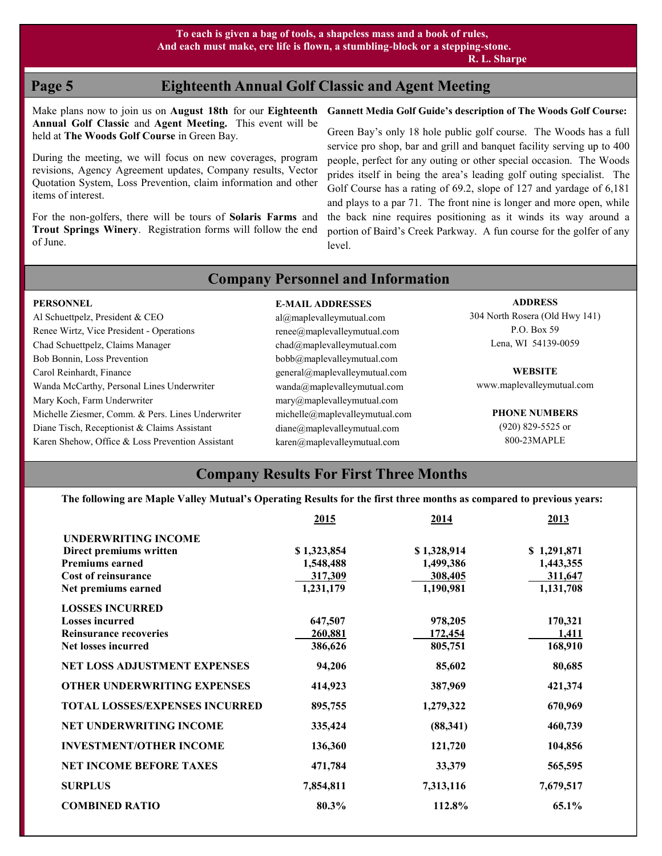**R. L. Sharpe**

# **Page 5 Eighteenth Annual Golf Classic and Agent Meeting**

Make plans now to join us on **August 18th** for our **Eighteenth Annual Golf Classic** and **Agent Meeting.** This event will be held at **The Woods Golf Course** in Green Bay.

During the meeting, we will focus on new coverages, program revisions, Agency Agreement updates, Company results, Vector Quotation System, Loss Prevention, claim information and other items of interest.

For the non-golfers, there will be tours of **Solaris Farms** and **Trout Springs Winery**. Registration forms will follow the end of June.

## **Gannett Media Golf Guide's description of The Woods Golf Course:**

Green Bay's only 18 hole public golf course. The Woods has a full service pro shop, bar and grill and banquet facility serving up to 400 people, perfect for any outing or other special occasion. The Woods prides itself in being the area's leading golf outing specialist. The Golf Course has a rating of 69.2, slope of 127 and yardage of 6,181 and plays to a par 71. The front nine is longer and more open, while the back nine requires positioning as it winds its way around a portion of Baird's Creek Parkway. A fun course for the golfer of any level.

# **Company Personnel and Information**

## **E-MAIL ADDRESSES**

al@maplevalleymutual.com renee@maplevalleymutual.com chad@maplevalleymutual.com bobb@maplevalleymutual.com general@maplevalleymutual.com wanda@maplevalleymutual.com mary@maplevalleymutual.com michelle@maplevalleymutual.com diane@maplevalleymutual.com karen@maplevalleymutual.com

## **ADDRESS**

304 North Rosera (Old Hwy 141) P.O. Box 59 Lena, WI 54139-0059

**WEBSITE** www.maplevalleymutual.com

> **PHONE NUMBERS** (920) 829-5525 or 800-23MAPLE

# **Company Results For First Three Months**

**The following are Maple Valley Mutual's Operating Results for the first three months as compared to previous years:**

|                                       | 2015        | 2014        | 2013        |
|---------------------------------------|-------------|-------------|-------------|
| <b>UNDERWRITING INCOME</b>            |             |             |             |
| Direct premiums written               | \$1,323,854 | \$1,328,914 | \$1,291,871 |
| <b>Premiums earned</b>                | 1,548,488   | 1,499,386   | 1,443,355   |
| <b>Cost of reinsurance</b>            | 317,309     | 308,405     | 311,647     |
| Net premiums earned                   | 1,231,179   | 1,190,981   | 1,131,708   |
| <b>LOSSES INCURRED</b>                |             |             |             |
| <b>Losses incurred</b>                | 647,507     | 978,205     | 170,321     |
| <b>Reinsurance recoveries</b>         | 260,881     | 172,454     | 1,411       |
| <b>Net losses incurred</b>            | 386,626     | 805,751     | 168,910     |
| <b>NET LOSS ADJUSTMENT EXPENSES</b>   | 94,206      | 85,602      | 80,685      |
| <b>OTHER UNDERWRITING EXPENSES</b>    | 414,923     | 387,969     | 421,374     |
| <b>TOTAL LOSSES/EXPENSES INCURRED</b> | 895,755     | 1,279,322   | 670,969     |
| <b>NET UNDERWRITING INCOME</b>        | 335,424     | (88, 341)   | 460,739     |
| <b>INVESTMENT/OTHER INCOME</b>        | 136,360     | 121,720     | 104,856     |
| <b>NET INCOME BEFORE TAXES</b>        | 471,784     | 33,379      | 565,595     |
| <b>SURPLUS</b>                        | 7,854,811   | 7,313,116   | 7,679,517   |
| <b>COMBINED RATIO</b>                 | 80.3%       | 112.8%      | 65.1%       |